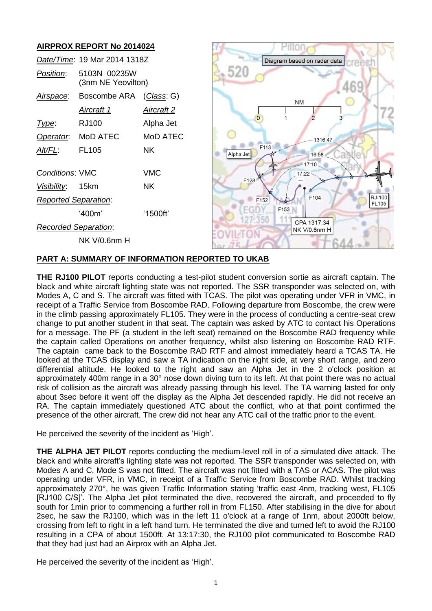# **AIRPROX REPORT No 2014024**

|                             | Date/Time: 19 Mar 2014 1318Z       |                   |  |
|-----------------------------|------------------------------------|-------------------|--|
| Position:                   | 5103N 00235W<br>(3nm NE Yeovilton) |                   |  |
|                             | Airspace: Boscombe ARA             | (Class: G)        |  |
|                             | <u>Aircraft 1</u>                  | <u>Aircraft 2</u> |  |
| l ype:                      | RJ100                              | Alpha Jet         |  |
|                             | Operator. MoD ATEC                 | MoD ATEC          |  |
| Alt/FL:                     | <b>FL105</b>                       | NΚ                |  |
| <b>Conditions: VMC</b>      |                                    | <b>VMC</b>        |  |
| Visibility: 15km            |                                    | ΝK                |  |
| <b>Reported Separation:</b> |                                    |                   |  |
|                             | '400m'                             | '1500ft'          |  |
| Recorded Separation:        |                                    |                   |  |
|                             | NK V/0.6nm H                       |                   |  |



### **PART A: SUMMARY OF INFORMATION REPORTED TO UKAB**

**THE RJ100 PILOT** reports conducting a test-pilot student conversion sortie as aircraft captain. The black and white aircraft lighting state was not reported. The SSR transponder was selected on, with Modes A, C and S. The aircraft was fitted with TCAS. The pilot was operating under VFR in VMC, in receipt of a Traffic Service from Boscombe RAD. Following departure from Boscombe, the crew were in the climb passing approximately FL105. They were in the process of conducting a centre-seat crew change to put another student in that seat. The captain was asked by ATC to contact his Operations for a message. The PF (a student in the left seat) remained on the Boscombe RAD frequency while the captain called Operations on another frequency, whilst also listening on Boscombe RAD RTF. The captain came back to the Boscombe RAD RTF and almost immediately heard a TCAS TA. He looked at the TCAS display and saw a TA indication on the right side, at very short range, and zero differential altitude. He looked to the right and saw an Alpha Jet in the 2 o'clock position at approximately 400m range in a 30° nose down diving turn to its left. At that point there was no actual risk of collision as the aircraft was already passing through his level. The TA warning lasted for only about 3sec before it went off the display as the Alpha Jet descended rapidly. He did not receive an RA. The captain immediately questioned ATC about the conflict, who at that point confirmed the presence of the other aircraft. The crew did not hear any ATC call of the traffic prior to the event.

He perceived the severity of the incident as 'High'.

**THE ALPHA JET PILOT** reports conducting the medium-level roll in of a simulated dive attack. The black and white aircraft's lighting state was not reported. The SSR transponder was selected on, with Modes A and C, Mode S was not fitted. The aircraft was not fitted with a TAS or ACAS. The pilot was operating under VFR, in VMC, in receipt of a Traffic Service from Boscombe RAD. Whilst tracking approximately 270°, he was given Traffic Information stating 'traffic east 4nm, tracking west, FL105 [RJ100 C/S]'. The Alpha Jet pilot terminated the dive, recovered the aircraft, and proceeded to fly south for 1min prior to commencing a further roll in from FL150. After stabilising in the dive for about 2sec, he saw the RJ100, which was in the left 11 o'clock at a range of 1nm, about 2000ft below, crossing from left to right in a left hand turn. He terminated the dive and turned left to avoid the RJ100 resulting in a CPA of about 1500ft. At 13:17:30, the RJ100 pilot communicated to Boscombe RAD that they had just had an Airprox with an Alpha Jet.

He perceived the severity of the incident as 'High'.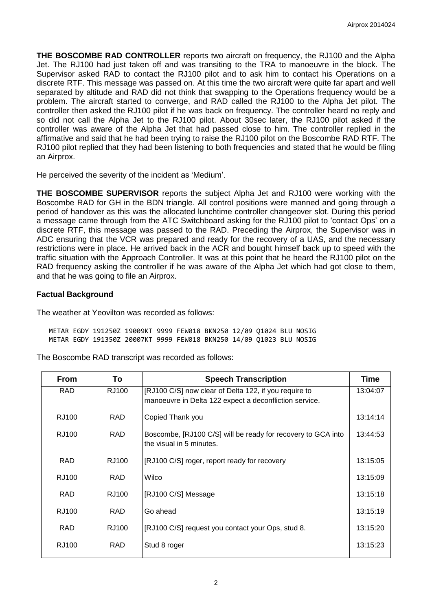**THE BOSCOMBE RAD CONTROLLER** reports two aircraft on frequency, the RJ100 and the Alpha Jet. The RJ100 had just taken off and was transiting to the TRA to manoeuvre in the block. The Supervisor asked RAD to contact the RJ100 pilot and to ask him to contact his Operations on a discrete RTF. This message was passed on. At this time the two aircraft were quite far apart and well separated by altitude and RAD did not think that swapping to the Operations frequency would be a problem. The aircraft started to converge, and RAD called the RJ100 to the Alpha Jet pilot. The controller then asked the RJ100 pilot if he was back on frequency. The controller heard no reply and so did not call the Alpha Jet to the RJ100 pilot. About 30sec later, the RJ100 pilot asked if the controller was aware of the Alpha Jet that had passed close to him. The controller replied in the affirmative and said that he had been trying to raise the RJ100 pilot on the Boscombe RAD RTF. The RJ100 pilot replied that they had been listening to both frequencies and stated that he would be filing an Airprox.

He perceived the severity of the incident as 'Medium'.

**THE BOSCOMBE SUPERVISOR** reports the subject Alpha Jet and RJ100 were working with the Boscombe RAD for GH in the BDN triangle. All control positions were manned and going through a period of handover as this was the allocated lunchtime controller changeover slot. During this period a message came through from the ATC Switchboard asking for the RJ100 pilot to 'contact Ops' on a discrete RTF, this message was passed to the RAD. Preceding the Airprox, the Supervisor was in ADC ensuring that the VCR was prepared and ready for the recovery of a UAS, and the necessary restrictions were in place. He arrived back in the ACR and bought himself back up to speed with the traffic situation with the Approach Controller. It was at this point that he heard the RJ100 pilot on the RAD frequency asking the controller if he was aware of the Alpha Jet which had got close to them, and that he was going to file an Airprox.

# **Factual Background**

The weather at Yeovilton was recorded as follows:

METAR EGDY 191250Z 19009KT 9999 FEW018 BKN250 12/09 Q1024 BLU NOSIG METAR EGDY 191350Z 20007KT 9999 FEW018 BKN250 14/09 Q1023 BLU NOSIG

| The Boscombe RAD transcript was recorded as follows: |  |
|------------------------------------------------------|--|
|------------------------------------------------------|--|

| To         | <b>Speech Transcription</b>                                  | Time                                                                               |
|------------|--------------------------------------------------------------|------------------------------------------------------------------------------------|
| RJ100      | [RJ100 C/S] now clear of Delta 122, if you require to        | 13:04:07                                                                           |
|            |                                                              |                                                                                    |
| <b>RAD</b> | Copied Thank you                                             | 13:14:14                                                                           |
| <b>RAD</b> | Boscombe, [RJ100 C/S] will be ready for recovery to GCA into | 13:44:53                                                                           |
|            |                                                              |                                                                                    |
| RJ100      | [RJ100 C/S] roger, report ready for recovery                 | 13:15:05                                                                           |
| <b>RAD</b> | Wilco                                                        | 13:15:09                                                                           |
| RJ100      | [RJ100 C/S] Message                                          | 13:15:18                                                                           |
| RAD.       | Go ahead                                                     | 13:15:19                                                                           |
| RJ100      | [RJ100 C/S] request you contact your Ops, stud 8.            | 13:15:20                                                                           |
| RAD.       | Stud 8 roger                                                 | 13:15:23                                                                           |
|            |                                                              | manoeuvre in Delta 122 expect a deconfliction service.<br>the visual in 5 minutes. |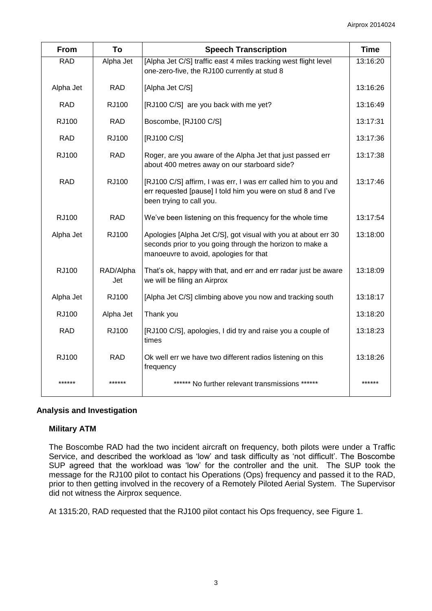| <b>From</b>  | To               | <b>Speech Transcription</b>                                                                                                                                                      | <b>Time</b> |
|--------------|------------------|----------------------------------------------------------------------------------------------------------------------------------------------------------------------------------|-------------|
| <b>RAD</b>   | Alpha Jet        | [Alpha Jet C/S] traffic east 4 miles tracking west flight level<br>one-zero-five, the RJ100 currently at stud 8                                                                  |             |
| Alpha Jet    | <b>RAD</b>       | [Alpha Jet C/S]                                                                                                                                                                  |             |
| <b>RAD</b>   | RJ100            | [RJ100 C/S] are you back with me yet?                                                                                                                                            | 13:16:49    |
| <b>RJ100</b> | <b>RAD</b>       | Boscombe, [RJ100 C/S]                                                                                                                                                            | 13:17:31    |
| <b>RAD</b>   | RJ100            | [RJ100 C/S]                                                                                                                                                                      | 13:17:36    |
| <b>RJ100</b> | <b>RAD</b>       | Roger, are you aware of the Alpha Jet that just passed err<br>about 400 metres away on our starboard side?                                                                       | 13:17:38    |
| <b>RAD</b>   | RJ100            | [RJ100 C/S] affirm, I was err, I was err called him to you and<br>err requested [pause] I told him you were on stud 8 and I've<br>been trying to call you.                       | 13:17:46    |
| RJ100        | <b>RAD</b>       | We've been listening on this frequency for the whole time                                                                                                                        | 13:17:54    |
| Alpha Jet    | RJ100            | Apologies [Alpha Jet C/S], got visual with you at about err 30<br>13:18:00<br>seconds prior to you going through the horizon to make a<br>manoeuvre to avoid, apologies for that |             |
| <b>RJ100</b> | RAD/Alpha<br>Jet | That's ok, happy with that, and err and err radar just be aware<br>we will be filing an Airprox                                                                                  | 13:18:09    |
| Alpha Jet    | RJ100            | [Alpha Jet C/S] climbing above you now and tracking south                                                                                                                        | 13:18:17    |
| <b>RJ100</b> | Alpha Jet        | Thank you                                                                                                                                                                        | 13:18:20    |
| <b>RAD</b>   | RJ100            | [RJ100 C/S], apologies, I did try and raise you a couple of<br>times                                                                                                             | 13:18:23    |
| <b>RJ100</b> | <b>RAD</b>       | Ok well err we have two different radios listening on this<br>frequency                                                                                                          | 13:18:26    |
| ******       | ******           | ****** No further relevant transmissions ******                                                                                                                                  | ******      |

# **Analysis and Investigation**

# **Military ATM**

The Boscombe RAD had the two incident aircraft on frequency, both pilots were under a Traffic Service, and described the workload as 'low' and task difficulty as 'not difficult'. The Boscombe SUP agreed that the workload was 'low' for the controller and the unit. The SUP took the message for the RJ100 pilot to contact his Operations (Ops) frequency and passed it to the RAD, prior to then getting involved in the recovery of a Remotely Piloted Aerial System. The Supervisor did not witness the Airprox sequence.

At 1315:20, RAD requested that the RJ100 pilot contact his Ops frequency, see Figure 1.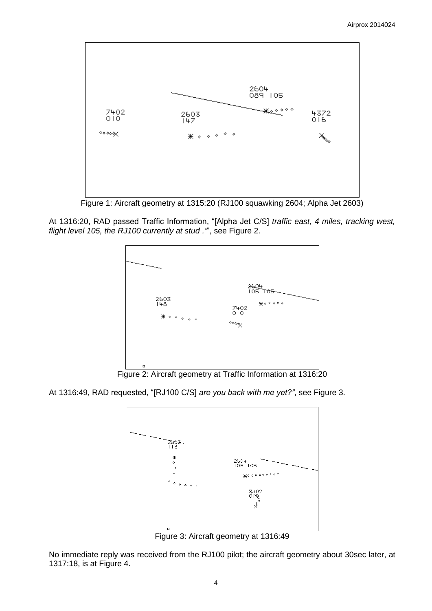

Figure 1: Aircraft geometry at 1315:20 (RJ100 squawking 2604; Alpha Jet 2603)

At 1316:20, RAD passed Traffic Information, "[Alpha Jet C/S] *traffic east, 4 miles, tracking west, flight level 105, the RJ100 currently at stud ."*", see Figure 2.



Figure 2: Aircraft geometry at Traffic Information at 1316:20

At 1316:49, RAD requested, "[RJ100 C/S] *are you back with me yet?"*, see Figure 3.



Figure 3: Aircraft geometry at 1316:49

No immediate reply was received from the RJ100 pilot; the aircraft geometry about 30sec later, at 1317:18, is at Figure 4.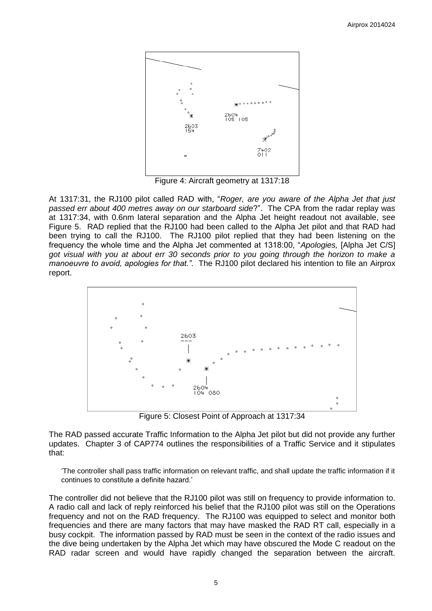

Figure 4: Aircraft geometry at 1317:18

At 1317:31, the RJ100 pilot called RAD with, "*Roger, are you aware of the Alpha Jet that just passed err about 400 metres away on our starboard side*?". The CPA from the radar replay was at 1317:34, with 0.6nm lateral separation and the Alpha Jet height readout not available, see Figure 5. RAD replied that the RJ100 had been called to the Alpha Jet pilot and that RAD had been trying to call the RJ100. The RJ100 pilot replied that they had been listening on the frequency the whole time and the Alpha Jet commented at 1318:00, "*Apologies,* [Alpha Jet C/S] *got visual with you at about err 30 seconds prior to you going through the horizon to make a manoeuvre to avoid, apologies for that."*. The RJ100 pilot declared his intention to file an Airprox report.



Figure 5: Closest Point of Approach at 1317:34

The RAD passed accurate Traffic Information to the Alpha Jet pilot but did not provide any further updates. Chapter 3 of CAP774 outlines the responsibilities of a Traffic Service and it stipulates that:

'The controller shall pass traffic information on relevant traffic, and shall update the traffic information if it continues to constitute a definite hazard.'

The controller did not believe that the RJ100 pilot was still on frequency to provide information to. A radio call and lack of reply reinforced his belief that the RJ100 pilot was still on the Operations frequency and not on the RAD frequency. The RJ100 was equipped to select and monitor both frequencies and there are many factors that may have masked the RAD RT call, especially in a busy cockpit. The information passed by RAD must be seen in the context of the radio issues and the dive being undertaken by the Alpha Jet which may have obscured the Mode C readout on the RAD radar screen and would have rapidly changed the separation between the aircraft.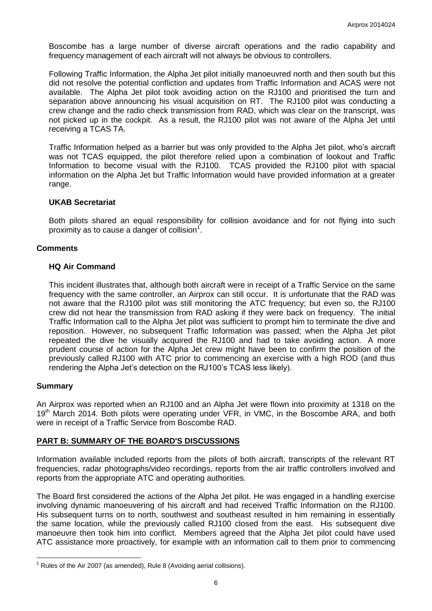Boscombe has a large number of diverse aircraft operations and the radio capability and frequency management of each aircraft will not always be obvious to controllers.

Following Traffic Information, the Alpha Jet pilot initially manoeuvred north and then south but this did not resolve the potential confliction and updates from Traffic Information and ACAS were not available. The Alpha Jet pilot took avoiding action on the RJ100 and prioritised the turn and separation above announcing his visual acquisition on RT. The RJ100 pilot was conducting a crew change and the radio check transmission from RAD, which was clear on the transcript, was not picked up in the cockpit. As a result, the RJ100 pilot was not aware of the Alpha Jet until receiving a TCAS TA.

Traffic Information helped as a barrier but was only provided to the Alpha Jet pilot, who's aircraft was not TCAS equipped, the pilot therefore relied upon a combination of lookout and Traffic Information to become visual with the RJ100. TCAS provided the RJ100 pilot with spacial information on the Alpha Jet but Traffic Information would have provided information at a greater range.

#### **UKAB Secretariat**

Both pilots shared an equal responsibility for collision avoidance and for not flying into such proximity as to cause a danger of collision<sup>1</sup>.

### **Comments**

### **HQ Air Command**

This incident illustrates that, although both aircraft were in receipt of a Traffic Service on the same frequency with the same controller, an Airprox can still occur. It is unfortunate that the RAD was not aware that the RJ100 pilot was still monitoring the ATC frequency; but even so, the RJ100 crew did not hear the transmission from RAD asking if they were back on frequency. The initial Traffic Information call to the Alpha Jet pilot was sufficient to prompt him to terminate the dive and reposition. However, no subsequent Traffic Information was passed; when the Alpha Jet pilot repeated the dive he visually acquired the RJ100 and had to take avoiding action. A more prudent course of action for the Alpha Jet crew might have been to confirm the position of the previously called RJ100 with ATC prior to commencing an exercise with a high ROD (and thus rendering the Alpha Jet's detection on the RJ100's TCAS less likely).

#### **Summary**

 $\overline{a}$ 

An Airprox was reported when an RJ100 and an Alpha Jet were flown into proximity at 1318 on the 19<sup>th</sup> March 2014. Both pilots were operating under VFR, in VMC, in the Boscombe ARA, and both were in receipt of a Traffic Service from Boscombe RAD.

# **PART B: SUMMARY OF THE BOARD'S DISCUSSIONS**

Information available included reports from the pilots of both aircraft, transcripts of the relevant RT frequencies, radar photographs/video recordings, reports from the air traffic controllers involved and reports from the appropriate ATC and operating authorities.

The Board first considered the actions of the Alpha Jet pilot. He was engaged in a handling exercise involving dynamic manoeuvering of his aircraft and had received Traffic Information on the RJ100. His subsequent turns on to north, southwest and southeast resulted in him remaining in essentially the same location, while the previously called RJ100 closed from the east. His subsequent dive manoeuvre then took him into conflict. Members agreed that the Alpha Jet pilot could have used ATC assistance more proactively, for example with an information call to them prior to commencing

 $1$  Rules of the Air 2007 (as amended), Rule 8 (Avoiding aerial collisions).